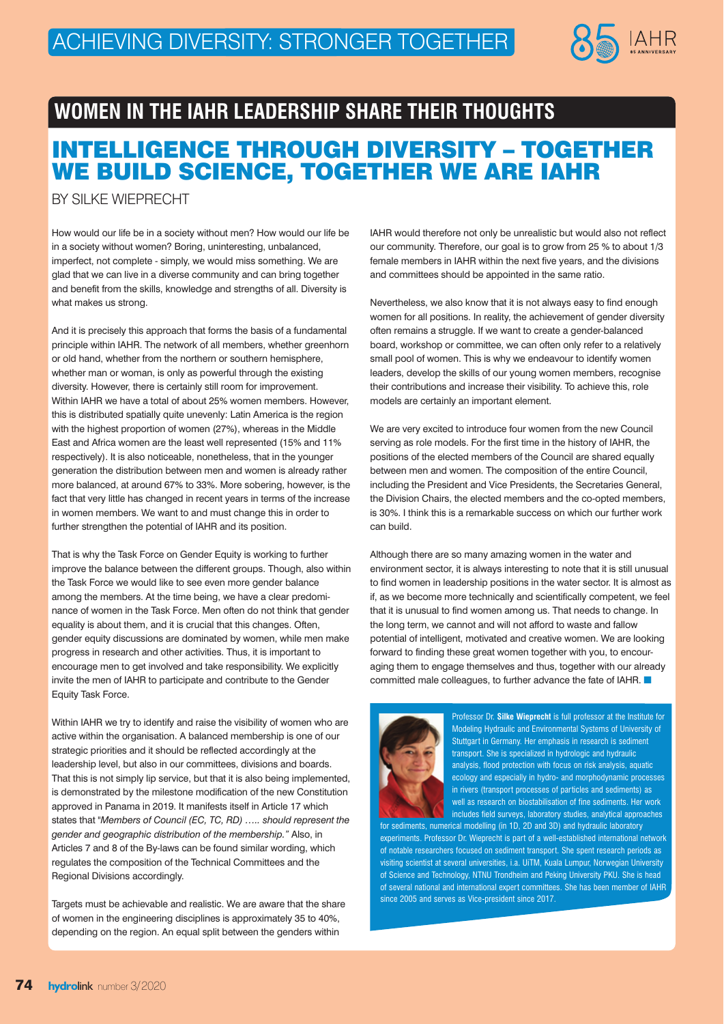

### **WOMEN IN THE IAHR LEADERSHIP SHARE THEIR THOUGHTS**

## INTELLIGENCE THROUGH DIVERSITY – TOGETHER WE BUILD SCIENCE, TOGETHER WE ARE IAHR

BY SILKE WIEPRECHT

How would our life be in a society without men? How would our life be in a society without women? Boring, uninteresting, unbalanced, imperfect, not complete - simply, we would miss something. We are glad that we can live in a diverse community and can bring together and benefit from the skills, knowledge and strengths of all. Diversity is what makes us strong.

And it is precisely this approach that forms the basis of a fundamental principle within IAHR. The network of all members, whether greenhorn or old hand, whether from the northern or southern hemisphere, whether man or woman, is only as powerful through the existing diversity. However, there is certainly still room for improvement. Within IAHR we have a total of about 25% women members. However, this is distributed spatially quite unevenly: Latin America is the region with the highest proportion of women (27%), whereas in the Middle East and Africa women are the least well represented (15% and 11% respectively). It is also noticeable, nonetheless, that in the younger generation the distribution between men and women is already rather more balanced, at around 67% to 33%. More sobering, however, is the fact that very little has changed in recent years in terms of the increase in women members. We want to and must change this in order to further strengthen the potential of IAHR and its position.

That is why the Task Force on Gender Equity is working to further improve the balance between the different groups. Though, also within the Task Force we would like to see even more gender balance among the members. At the time being, we have a clear predominance of women in the Task Force. Men often do not think that gender equality is about them, and it is crucial that this changes. Often, gender equity discussions are dominated by women, while men make progress in research and other activities. Thus, it is important to encourage men to get involved and take responsibility. We explicitly invite the men of IAHR to participate and contribute to the Gender Equity Task Force.

Within IAHR we try to identify and raise the visibility of women who are active within the organisation. A balanced membership is one of our strategic priorities and it should be reflected accordingly at the leadership level, but also in our committees, divisions and boards. That this is not simply lip service, but that it is also being implemented, is demonstrated by the milestone modification of the new Constitution approved in Panama in 2019. It manifests itself in Article 17 which states that *"Members of Council (EC, TC, RD) ….. should represent the gender and geographic distribution of the membership."* Also, in Articles 7 and 8 of the By-laws can be found similar wording, which regulates the composition of the Technical Committees and the Regional Divisions accordingly.

Targets must be achievable and realistic. We are aware that the share of women in the engineering disciplines is approximately 35 to 40%, depending on the region. An equal split between the genders within

IAHR would therefore not only be unrealistic but would also not reflect our community. Therefore, our goal is to grow from 25 % to about 1/3 female members in IAHR within the next five years, and the divisions and committees should be appointed in the same ratio.

Nevertheless, we also know that it is not always easy to find enough women for all positions. In reality, the achievement of gender diversity often remains a struggle. If we want to create a gender-balanced board, workshop or committee, we can often only refer to a relatively small pool of women. This is why we endeavour to identify women leaders, develop the skills of our young women members, recognise their contributions and increase their visibility. To achieve this, role models are certainly an important element.

We are very excited to introduce four women from the new Council serving as role models. For the first time in the history of IAHR, the positions of the elected members of the Council are shared equally between men and women. The composition of the entire Council, including the President and Vice Presidents, the Secretaries General, the Division Chairs, the elected members and the co-opted members, is 30%. I think this is a remarkable success on which our further work can build.

Although there are so many amazing women in the water and environment sector, it is always interesting to note that it is still unusual to find women in leadership positions in the water sector. It is almost as if, as we become more technically and scientifically competent, we feel that it is unusual to find women among us. That needs to change. In the long term, we cannot and will not afford to waste and fallow potential of intelligent, motivated and creative women. We are looking forward to finding these great women together with you, to encouraging them to engage themselves and thus, together with our already committed male colleagues, to further advance the fate of IAHR.



Professor Dr. **Silke Wieprecht** is full professor at the Institute for Modeling Hydraulic and Environmental Systems of University of Stuttgart in Germany. Her emphasis in research is sediment transport. She is specialized in hydrologic and hydraulic analysis, flood protection with focus on risk analysis, aquatic ecology and especially in hydro- and morphodynamic processes in rivers (transport processes of particles and sediments) as well as research on biostabilisation of fine sediments. Her work includes field surveys, laboratory studies, analytical approaches

for sediments, numerical modelling (in 1D, 2D and 3D) and hydraulic laboratory experiments. Professor Dr. Wieprecht is part of a well-established international network of notable researchers focused on sediment transport. She spent research periods as visiting scientist at several universities, i.a. UiTM, Kuala Lumpur, Norwegian University of Science and Technology, NTNU Trondheim and Peking University PKU. She is head of several national and international expert committees. She has been member of IAHR since 2005 and serves as Vice-president since 2017.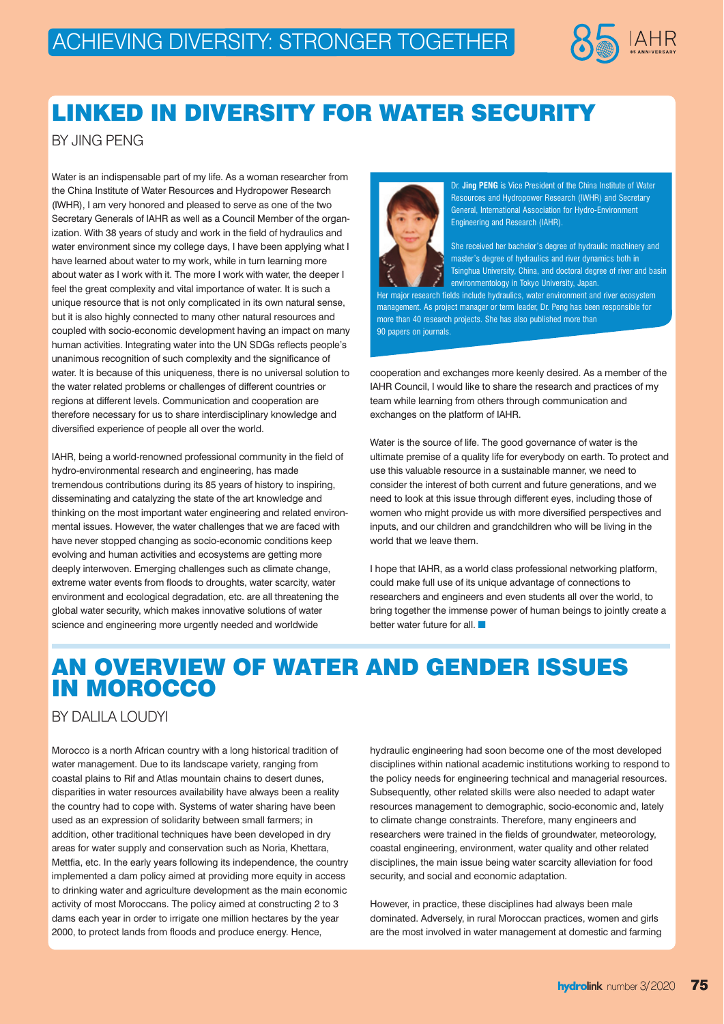

# LINKED IN DIVERSITY FOR WATER SECURITY<br>Executions

BY BY JING PENG

Water is an indispensable part of my life. As a woman researcher from the China Institute of Water Resources and Hydropower Research (IWHR), I am very honored and pleased to serve as one of the two Secretary Generals of IAHR as well as a Council Member of the organization. With 38 years of study and work in the field of hydraulics and water environment since my college days, I have been applying what I have learned about water to my work, while in turn learning more about water as I work with it. The more I work with water, the deeper I feel the great complexity and vital importance of water. It is such a unique resource that is not only complicated in its own natural sense, but it is also highly connected to many other natural resources and coupled with socio-economic development having an impact on many human activities. Integrating water into the UN SDGs reflects people's unanimous recognition of such complexity and the significance of water. It is because of this uniqueness, there is no universal solution to the water related problems or challenges of different countries or regions at different levels. Communication and cooperation are therefore necessary for us to share interdisciplinary knowledge and diversified experience of people all over the world.

IAHR, being a world-renowned professional community in the field of hydro-environmental research and engineering, has made tremendous contributions during its 85 years of history to inspiring, disseminating and catalyzing the state of the art knowledge and thinking on the most important water engineering and related environmental issues. However, the water challenges that we are faced with have never stopped changing as socio-economic conditions keep evolving and human activities and ecosystems are getting more deeply interwoven. Emerging challenges such as climate change, extreme water events from floods to droughts, water scarcity, water environment and ecological degradation, etc. are all threatening the global water security, which makes innovative solutions of water science and engineering more urgently needed and worldwide



Dr. **Jing PENG** is Vice President of the China Institute of Water Resources and Hydropower Research (IWHR) and Secretary General, International Association for Hydro-Environment Engineering and Research (IAHR).

She received her bachelor's degree of hydraulic machinery and master's degree of hydraulics and river dynamics both in Tsinghua University, China, and doctoral degree of river and basin environmentology in Tokyo University, Japan.

Her major research fields include hydraulics, water environment and river ecosystem management. As project manager or term leader, Dr. Peng has been responsible for more than 40 research projects. She has also published more than 90 papers on journals.

cooperation and exchanges more keenly desired. As a member of the IAHR Council, I would like to share the research and practices of my team while learning from others through communication and exchanges on the platform of IAHR.

Water is the source of life. The good governance of water is the ultimate premise of a quality life for everybody on earth. To protect and use this valuable resource in a sustainable manner, we need to consider the interest of both current and future generations, and we need to look at this issue through different eyes, including those of women who might provide us with more diversified perspectives and inputs, and our children and grandchildren who will be living in the world that we leave them.

I hope that IAHR, as a world class professional networking platform, could make full use of its unique advantage of connections to researchers and engineers and even students all over the world, to bring together the immense power of human beings to jointly create a better water future for all.  $\blacksquare$ 

## AN OVERVIEW OF WATER AND GENDER ISSUES IN MOROCCO

BY DALILA LOUDYL

Morocco is a north African country with a long historical tradition of water management. Due to its landscape variety, ranging from coastal plains to Rif and Atlas mountain chains to desert dunes, disparities in water resources availability have always been a reality the country had to cope with. Systems of water sharing have been used as an expression of solidarity between small farmers; in addition, other traditional techniques have been developed in dry areas for water supply and conservation such as Noria, Khettara, Mettfia, etc. In the early years following its independence, the country implemented a dam policy aimed at providing more equity in access to drinking water and agriculture development as the main economic activity of most Moroccans. The policy aimed at constructing 2 to 3 dams each year in order to irrigate one million hectares by the year 2000, to protect lands from floods and produce energy. Hence,

hydraulic engineering had soon become one of the most developed disciplines within national academic institutions working to respond to the policy needs for engineering technical and managerial resources. Subsequently, other related skills were also needed to adapt water resources management to demographic, socio-economic and, lately to climate change constraints. Therefore, many engineers and researchers were trained in the fields of groundwater, meteorology, coastal engineering, environment, water quality and other related disciplines, the main issue being water scarcity alleviation for food security, and social and economic adaptation.

However, in practice, these disciplines had always been male dominated. Adversely, in rural Moroccan practices, women and girls are the most involved in water management at domestic and farming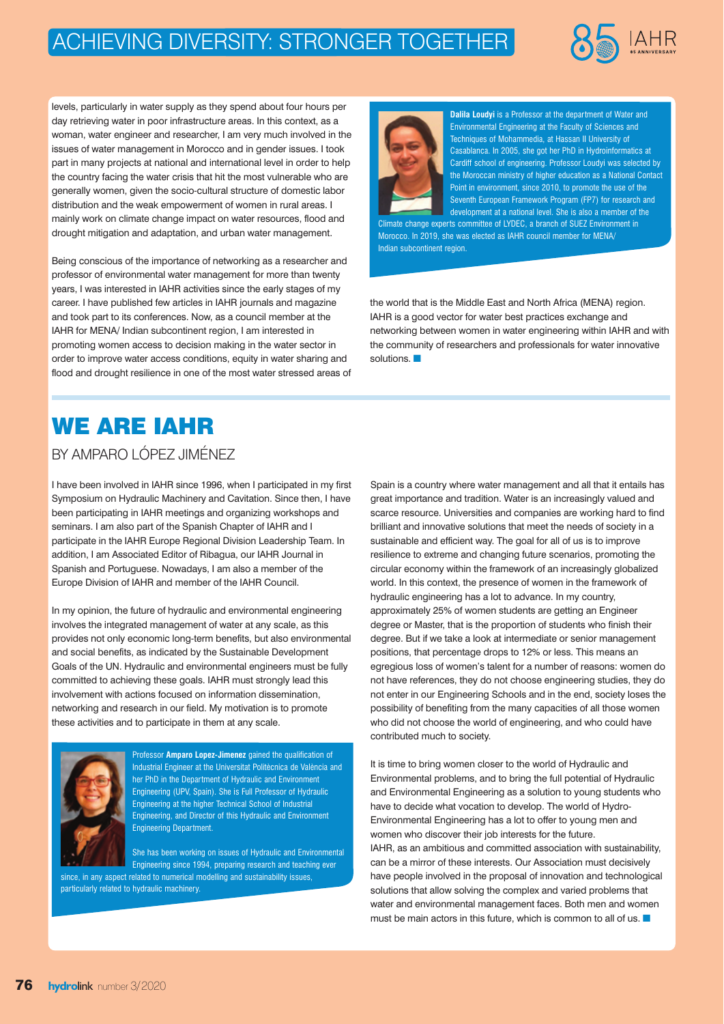# ACHIEVING DIVERSITY: STRONGER TOGETHER



levels, particularly in water supply as they spend about four hours per day retrieving water in poor infrastructure areas. In this context, as a woman, water engineer and researcher, I am very much involved in the issues of water management in Morocco and in gender issues. I took part in many projects at national and international level in order to help the country facing the water crisis that hit the most vulnerable who are generally women, given the socio-cultural structure of domestic labor distribution and the weak empowerment of women in rural areas. I mainly work on climate change impact on water resources, flood and drought mitigation and adaptation, and urban water management.

Being conscious of the importance of networking as a researcher and professor of environmental water management for more than twenty years, I was interested in IAHR activities since the early stages of my career. I have published few articles in IAHR journals and magazine and took part to its conferences. Now, as a council member at the IAHR for MENA/ Indian subcontinent region, I am interested in promoting women access to decision making in the water sector in order to improve water access conditions, equity in water sharing and flood and drought resilience in one of the most water stressed areas of



**Dalila Loudyi** is a Professor at the department of Water and Environmental Engineering at the Faculty of Sciences and Techniques of Mohammedia, at Hassan II University of Casablanca. In 2005, she got her PhD in Hydroinformatics at Cardiff school of engineering. Professor Loudyi was selected by the Moroccan ministry of higher education as a National Contact Point in environment, since 2010, to promote the use of the Seventh European Framework Program (FP7) for research and development at a national level. She is also a member of the

Climate change experts committee of LYDEC, a branch of SUEZ Environment in Morocco. In 2019, she was elected as IAHR council member for MENA/ Indian subcontinent region.

the world that is the Middle East and North Africa (MENA) region. IAHR is a good vector for water best practices exchange and networking between women in water engineering within IAHR and with the community of researchers and professionals for water innovative solutions.

#### WE ARE IAHR BY AMPARO LÓPEZ JIMÉNEZ

I have been involved in IAHR since 1996, when I participated in my first Symposium on Hydraulic Machinery and Cavitation. Since then, I have been participating in IAHR meetings and organizing workshops and seminars. I am also part of the Spanish Chapter of IAHR and I participate in the IAHR Europe Regional Division Leadership Team. In addition, I am Associated Editor of Ribagua, our IAHR Journal in Spanish and Portuguese. Nowadays, I am also a member of the Europe Division of IAHR and member of the IAHR Council.

In my opinion, the future of hydraulic and environmental engineering involves the integrated management of water at any scale, as this provides not only economic long-term benefits, but also environmental and social benefits, as indicated by the Sustainable Development Goals of the UN. Hydraulic and environmental engineers must be fully committed to achieving these goals. IAHR must strongly lead this involvement with actions focused on information dissemination, networking and research in our field. My motivation is to promote these activities and to participate in them at any scale.



Professor **Amparo Lopez-Jimenez** gained the qualification of Industrial Engineer at the Universitat Politècnica de València and her PhD in the Department of Hydraulic and Environment Engineering (UPV, Spain). She is Full Professor of Hydraulic Engineering at the higher Technical School of Industrial Engineering, and Director of this Hydraulic and Environment Engineering Department.

She has been working on issues of Hydraulic and Environmental Engineering since 1994, preparing research and teaching ever since, in any aspect related to numerical modelling and sustainability issues, particularly related to hydraulic machinery.

Spain is a country where water management and all that it entails has great importance and tradition. Water is an increasingly valued and scarce resource. Universities and companies are working hard to find brilliant and innovative solutions that meet the needs of society in a sustainable and efficient way. The goal for all of us is to improve resilience to extreme and changing future scenarios, promoting the circular economy within the framework of an increasingly globalized world. In this context, the presence of women in the framework of hydraulic engineering has a lot to advance. In my country, approximately 25% of women students are getting an Engineer degree or Master, that is the proportion of students who finish their degree. But if we take a look at intermediate or senior management positions, that percentage drops to 12% or less. This means an egregious loss of women's talent for a number of reasons: women do not have references, they do not choose engineering studies, they do not enter in our Engineering Schools and in the end, society loses the possibility of benefiting from the many capacities of all those women who did not choose the world of engineering, and who could have contributed much to society.

It is time to bring women closer to the world of Hydraulic and Environmental problems, and to bring the full potential of Hydraulic and Environmental Engineering as a solution to young students who have to decide what vocation to develop. The world of Hydro-Environmental Engineering has a lot to offer to young men and women who discover their job interests for the future. IAHR, as an ambitious and committed association with sustainability, can be a mirror of these interests. Our Association must decisively have people involved in the proposal of innovation and technological solutions that allow solving the complex and varied problems that water and environmental management faces. Both men and women must be main actors in this future, which is common to all of us.  $\blacksquare$